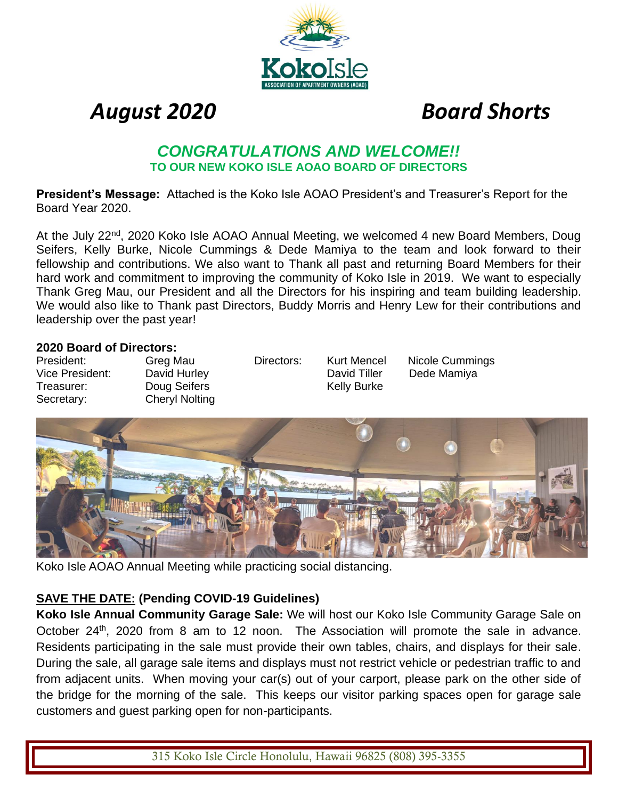

 *August 2020 Board Shorts*

## *CONGRATULATIONS AND WELCOME!!* **TO OUR NEW KOKO ISLE AOAO BOARD OF DIRECTORS**

**President's Message:** Attached is the Koko Isle AOAO President's and Treasurer's Report for the Board Year 2020.

At the July 22<sup>nd</sup>, 2020 Koko Isle AOAO Annual Meeting, we welcomed 4 new Board Members, Doug Seifers, Kelly Burke, Nicole Cummings & Dede Mamiya to the team and look forward to their fellowship and contributions. We also want to Thank all past and returning Board Members for their hard work and commitment to improving the community of Koko Isle in 2019. We want to especially Thank Greg Mau, our President and all the Directors for his inspiring and team building leadership. We would also like to Thank past Directors, Buddy Morris and Henry Lew for their contributions and leadership over the past year!

#### **2020 Board of Directors:**

Vice President: David Hurley **David Tiller** Dede Mamiya Treasurer: Doug Seifers Treasurer: Doug Seifers Kelly Burke Secretary: Cheryl Nolting

President: Greg Mau Directors: Kurt Mencel Nicole Cummings



Koko Isle AOAO Annual Meeting while practicing social distancing.

#### **SAVE THE DATE: (Pending COVID-19 Guidelines)**

**Koko Isle Annual Community Garage Sale:** We will host our Koko Isle Community Garage Sale on October 24<sup>th</sup>, 2020 from 8 am to 12 noon. The Association will promote the sale in advance. Residents participating in the sale must provide their own tables, chairs, and displays for their sale. During the sale, all garage sale items and displays must not restrict vehicle or pedestrian traffic to and from adjacent units. When moving your car(s) out of your carport, please park on the other side of the bridge for the morning of the sale. This keeps our visitor parking spaces open for garage sale customers and guest parking open for non-participants.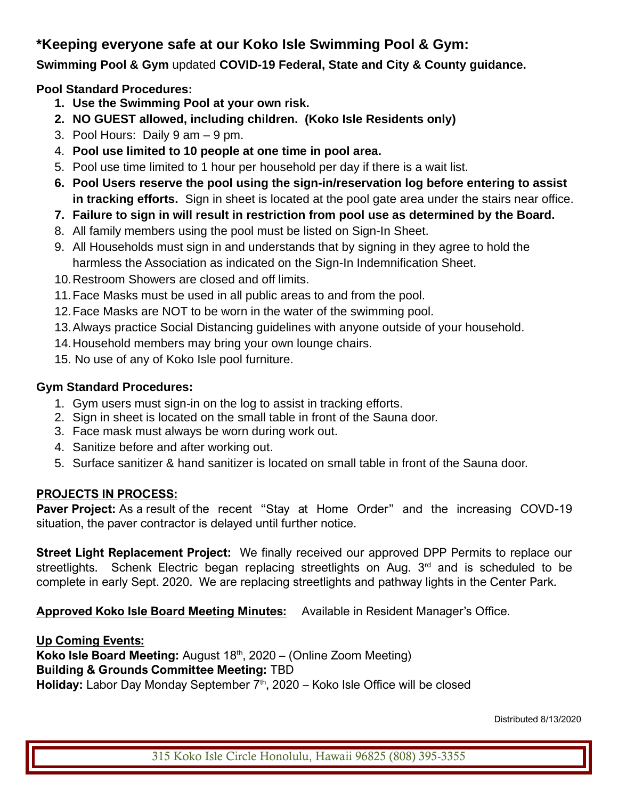# **\*Keeping everyone safe at our Koko Isle Swimming Pool & Gym:**

**Swimming Pool & Gym** updated **COVID-19 Federal, State and City & County guidance.**

### **Pool Standard Procedures:**

- **1. Use the Swimming Pool at your own risk.**
- **2. NO GUEST allowed, including children. (Koko Isle Residents only)**
- 3. Pool Hours: Daily 9 am 9 pm.
- 4. **Pool use limited to 10 people at one time in pool area.**
- 5. Pool use time limited to 1 hour per household per day if there is a wait list.
- **6. Pool Users reserve the pool using the sign-in/reservation log before entering to assist in tracking efforts.** Sign in sheet is located at the pool gate area under the stairs near office.
- **7. Failure to sign in will result in restriction from pool use as determined by the Board.**
- 8. All family members using the pool must be listed on Sign-In Sheet.
- 9. All Households must sign in and understands that by signing in they agree to hold the harmless the Association as indicated on the Sign-In Indemnification Sheet.
- 10.Restroom Showers are closed and off limits.
- 11.Face Masks must be used in all public areas to and from the pool.
- 12.Face Masks are NOT to be worn in the water of the swimming pool.
- 13.Always practice Social Distancing guidelines with anyone outside of your household.
- 14.Household members may bring your own lounge chairs.
- 15. No use of any of Koko Isle pool furniture.

#### **Gym Standard Procedures:**

- 1. Gym users must sign-in on the log to assist in tracking efforts.
- 2. Sign in sheet is located on the small table in front of the Sauna door.
- 3. Face mask must always be worn during work out.
- 4. Sanitize before and after working out.
- 5. Surface sanitizer & hand sanitizer is located on small table in front of the Sauna door.

### **PROJECTS IN PROCESS:**

**Paver Project:** As a result of the recent "Stay at Home Order" and the increasing COVD-19 situation, the paver contractor is delayed until further notice.

**Street Light Replacement Project:** We finally received our approved DPP Permits to replace our streetlights. Schenk Electric began replacing streetlights on Aug.  $3<sup>rd</sup>$  and is scheduled to be complete in early Sept. 2020. We are replacing streetlights and pathway lights in the Center Park.

**Approved Koko Isle Board Meeting Minutes:** Available in Resident Manager's Office.

#### **Up Coming Events:**

**Koko Isle Board Meeting:** August 18<sup>th</sup>, 2020 – (Online Zoom Meeting) **Building & Grounds Committee Meeting:** TBD Holiday: Labor Day Monday September 7<sup>th</sup>, 2020 – Koko Isle Office will be closed

Distributed 8/13/2020

315 Koko Isle Circle Honolulu, Hawaii 96825 (808) 395-3355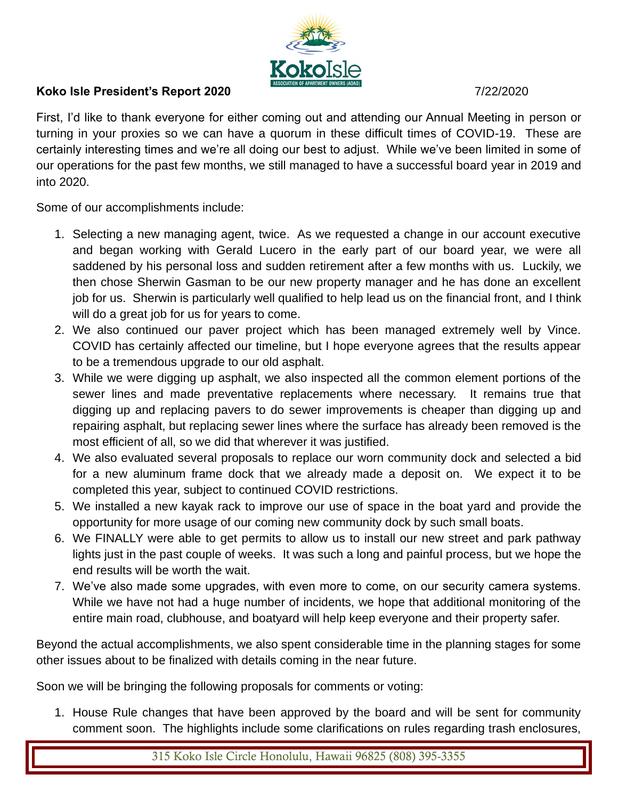

#### **Koko Isle President's Report 2020 7/22/2020**

First, I'd like to thank everyone for either coming out and attending our Annual Meeting in person or turning in your proxies so we can have a quorum in these difficult times of COVID-19. These are certainly interesting times and we're all doing our best to adjust. While we've been limited in some of our operations for the past few months, we still managed to have a successful board year in 2019 and into 2020.

Some of our accomplishments include:

- 1. Selecting a new managing agent, twice. As we requested a change in our account executive and began working with Gerald Lucero in the early part of our board year, we were all saddened by his personal loss and sudden retirement after a few months with us. Luckily, we then chose Sherwin Gasman to be our new property manager and he has done an excellent job for us. Sherwin is particularly well qualified to help lead us on the financial front, and I think will do a great job for us for years to come.
- 2. We also continued our paver project which has been managed extremely well by Vince. COVID has certainly affected our timeline, but I hope everyone agrees that the results appear to be a tremendous upgrade to our old asphalt.
- 3. While we were digging up asphalt, we also inspected all the common element portions of the sewer lines and made preventative replacements where necessary. It remains true that digging up and replacing pavers to do sewer improvements is cheaper than digging up and repairing asphalt, but replacing sewer lines where the surface has already been removed is the most efficient of all, so we did that wherever it was justified.
- 4. We also evaluated several proposals to replace our worn community dock and selected a bid for a new aluminum frame dock that we already made a deposit on. We expect it to be completed this year, subject to continued COVID restrictions.
- 5. We installed a new kayak rack to improve our use of space in the boat yard and provide the opportunity for more usage of our coming new community dock by such small boats.
- 6. We FINALLY were able to get permits to allow us to install our new street and park pathway lights just in the past couple of weeks. It was such a long and painful process, but we hope the end results will be worth the wait.
- 7. We've also made some upgrades, with even more to come, on our security camera systems. While we have not had a huge number of incidents, we hope that additional monitoring of the entire main road, clubhouse, and boatyard will help keep everyone and their property safer.

Beyond the actual accomplishments, we also spent considerable time in the planning stages for some other issues about to be finalized with details coming in the near future.

Soon we will be bringing the following proposals for comments or voting:

1. House Rule changes that have been approved by the board and will be sent for community comment soon. The highlights include some clarifications on rules regarding trash enclosures,

315 Koko Isle Circle Honolulu, Hawaii 96825 (808) 395-3355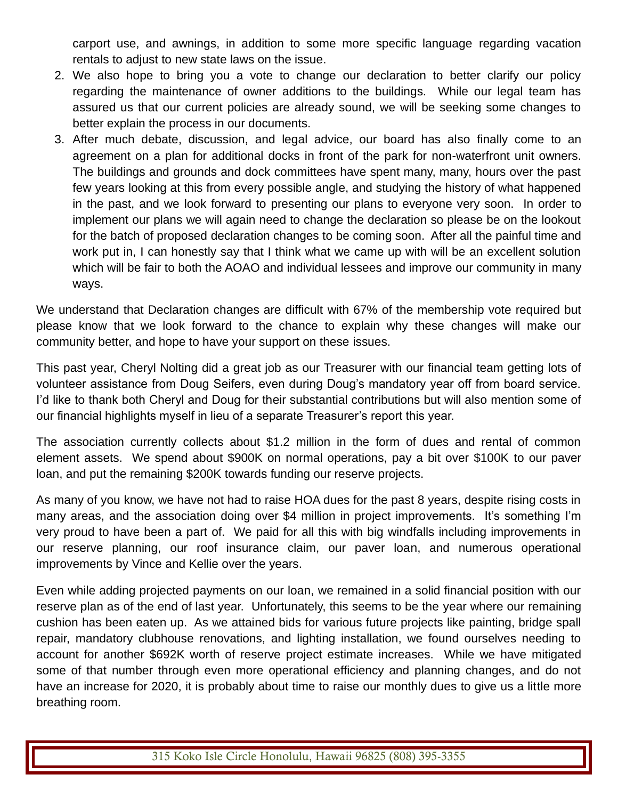carport use, and awnings, in addition to some more specific language regarding vacation rentals to adjust to new state laws on the issue.

- 2. We also hope to bring you a vote to change our declaration to better clarify our policy regarding the maintenance of owner additions to the buildings. While our legal team has assured us that our current policies are already sound, we will be seeking some changes to better explain the process in our documents.
- 3. After much debate, discussion, and legal advice, our board has also finally come to an agreement on a plan for additional docks in front of the park for non-waterfront unit owners. The buildings and grounds and dock committees have spent many, many, hours over the past few years looking at this from every possible angle, and studying the history of what happened in the past, and we look forward to presenting our plans to everyone very soon. In order to implement our plans we will again need to change the declaration so please be on the lookout for the batch of proposed declaration changes to be coming soon. After all the painful time and work put in, I can honestly say that I think what we came up with will be an excellent solution which will be fair to both the AOAO and individual lessees and improve our community in many ways.

We understand that Declaration changes are difficult with 67% of the membership vote required but please know that we look forward to the chance to explain why these changes will make our community better, and hope to have your support on these issues.

This past year, Cheryl Nolting did a great job as our Treasurer with our financial team getting lots of volunteer assistance from Doug Seifers, even during Doug's mandatory year off from board service. I'd like to thank both Cheryl and Doug for their substantial contributions but will also mention some of our financial highlights myself in lieu of a separate Treasurer's report this year.

The association currently collects about \$1.2 million in the form of dues and rental of common element assets. We spend about \$900K on normal operations, pay a bit over \$100K to our paver loan, and put the remaining \$200K towards funding our reserve projects.

As many of you know, we have not had to raise HOA dues for the past 8 years, despite rising costs in many areas, and the association doing over \$4 million in project improvements. It's something I'm very proud to have been a part of. We paid for all this with big windfalls including improvements in our reserve planning, our roof insurance claim, our paver loan, and numerous operational improvements by Vince and Kellie over the years.

Even while adding projected payments on our loan, we remained in a solid financial position with our reserve plan as of the end of last year. Unfortunately, this seems to be the year where our remaining cushion has been eaten up. As we attained bids for various future projects like painting, bridge spall repair, mandatory clubhouse renovations, and lighting installation, we found ourselves needing to account for another \$692K worth of reserve project estimate increases. While we have mitigated some of that number through even more operational efficiency and planning changes, and do not have an increase for 2020, it is probably about time to raise our monthly dues to give us a little more breathing room.